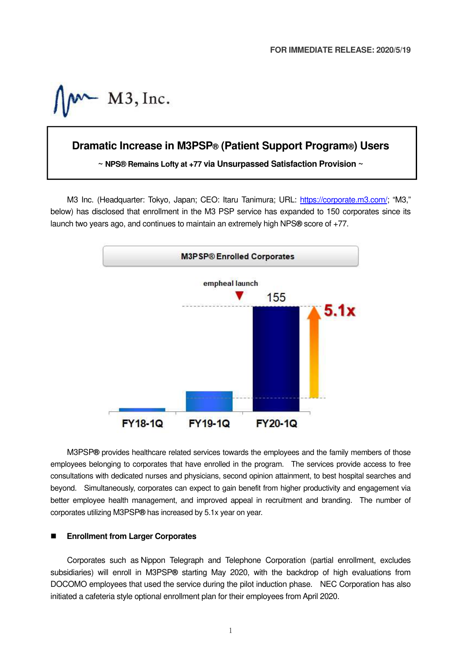$M3$ , Inc.

# **Dramatic Increase in M3PSP® (Patient Support Program®) Users**

**~ NPS® Remains Lofty at +77 via Unsurpassed Satisfaction Provision ~**

M3 Inc. (Headquarter: Tokyo, Japan; CEO: Itaru Tanimura; URL: https://corporate.m3.com/; "M3," below) has disclosed that enrollment in the M3 PSP service has expanded to 150 corporates since its launch two years ago, and continues to maintain an extremely high NPS**®** score of +77.



M3PSP**®** provides healthcare related services towards the employees and the family members of those employees belonging to corporates that have enrolled in the program. The services provide access to free consultations with dedicated nurses and physicians, second opinion attainment, to best hospital searches and beyond. Simultaneously, corporates can expect to gain benefit from higher productivity and engagement via better employee health management, and improved appeal in recruitment and branding. The number of corporates utilizing M3PSP**®** has increased by 5.1x year on year.

#### **Enrollment from Larger Corporates**

Corporates such as Nippon Telegraph and Telephone Corporation (partial enrollment, excludes subsidiaries) will enroll in M3PSP**®** starting May 2020, with the backdrop of high evaluations from DOCOMO employees that used the service during the pilot induction phase. NEC Corporation has also initiated a cafeteria style optional enrollment plan for their employees from April 2020.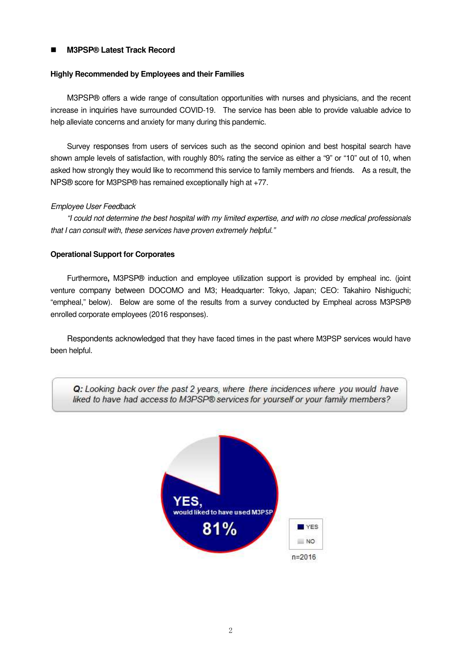# **M3PSP® Latest Track Record**

## **Highly Recommended by Employees and their Families**

M3PSP® offers a wide range of consultation opportunities with nurses and physicians, and the recent increase in inquiries have surrounded COVID-19. The service has been able to provide valuable advice to help alleviate concerns and anxiety for many during this pandemic.

Survey responses from users of services such as the second opinion and best hospital search have shown ample levels of satisfaction, with roughly 80% rating the service as either a "9" or "10" out of 10, when asked how strongly they would like to recommend this service to family members and friends. As a result, the NPS® score for M3PSP® has remained exceptionally high at +77.

### Employee User Feedback

"I could not determine the best hospital with my limited expertise, and with no close medical professionals that I can consult with, these services have proven extremely helpful."

### **Operational Support for Corporates**

Furthermore**,** M3PSP® induction and employee utilization support is provided by empheal inc. (joint venture company between DOCOMO and M3; Headquarter: Tokyo, Japan; CEO: Takahiro Nishiguchi; "empheal," below). Below are some of the results from a survey conducted by Empheal across M3PSP® enrolled corporate employees (2016 responses).

Respondents acknowledged that they have faced times in the past where M3PSP services would have been helpful.



Q: Looking back over the past 2 years, where there incidences where you would have liked to have had access to M3PSP® services for yourself or your family members?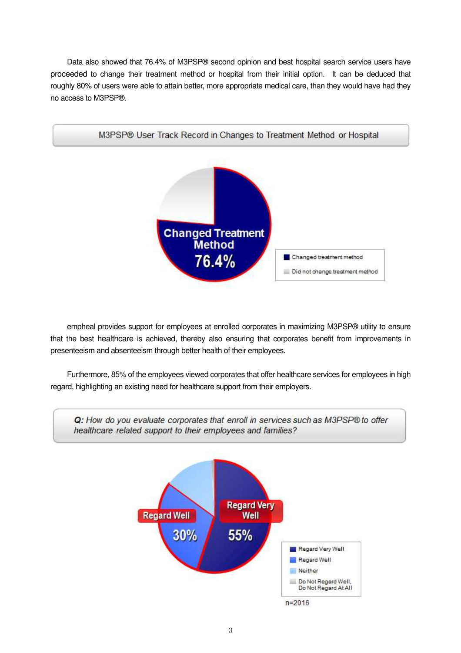Data also showed that 76.4% of M3PSP® second opinion and best hospital search service users have proceeded to change their treatment method or hospital from their initial option. It can be deduced that roughly 80% of users were able to attain better, more appropriate medical care, than they would have had they no access to M3PSP®.



empheal provides support for employees at enrolled corporates in maximizing M3PSP® utility to ensure that the best healthcare is achieved, thereby also ensuring that corporates benefit from improvements in presenteeism and absenteeism through better health of their employees.

Furthermore, 85% of the employees viewed corporates that offer healthcare services for employees in high regard, highlighting an existing need for healthcare support from their employers.